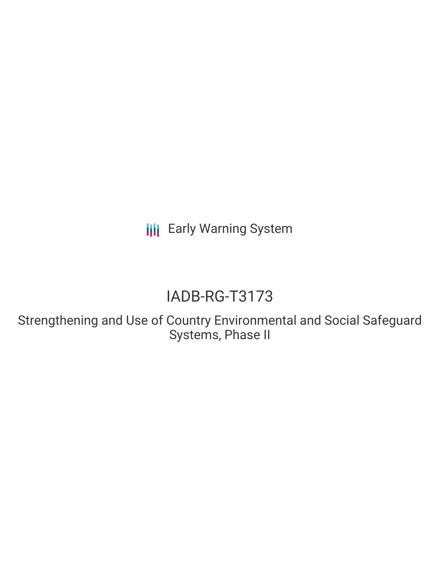**III** Early Warning System

# IADB-RG-T3173

Strengthening and Use of Country Environmental and Social Safeguard Systems, Phase II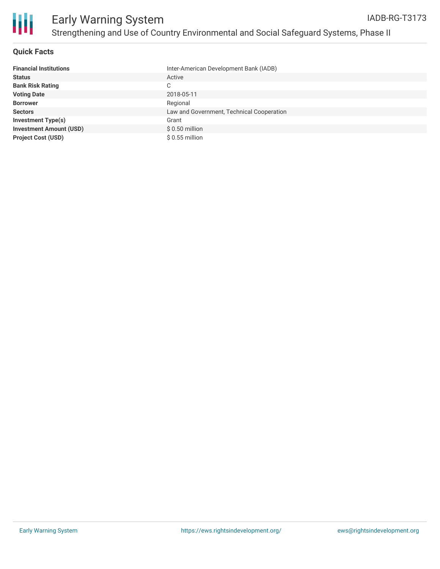

# **Quick Facts**

| <b>Financial Institutions</b>  | Inter-American Development Bank (IADB)    |
|--------------------------------|-------------------------------------------|
| <b>Status</b>                  | Active                                    |
| <b>Bank Risk Rating</b>        | С                                         |
| <b>Voting Date</b>             | 2018-05-11                                |
| <b>Borrower</b>                | Regional                                  |
| <b>Sectors</b>                 | Law and Government, Technical Cooperation |
| <b>Investment Type(s)</b>      | Grant                                     |
| <b>Investment Amount (USD)</b> | $$0.50$ million                           |
| <b>Project Cost (USD)</b>      | $$0.55$ million                           |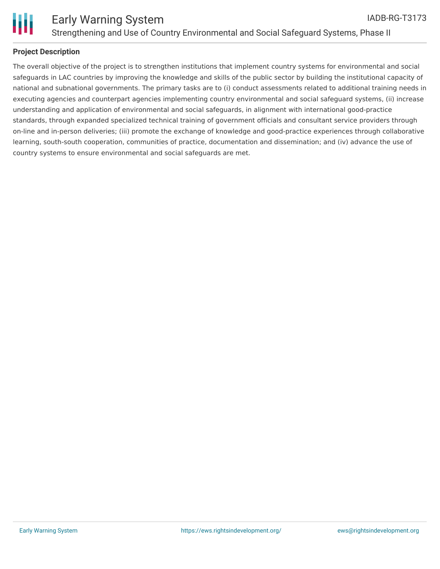

# **Project Description**

The overall objective of the project is to strengthen institutions that implement country systems for environmental and social safeguards in LAC countries by improving the knowledge and skills of the public sector by building the institutional capacity of national and subnational governments. The primary tasks are to (i) conduct assessments related to additional training needs in executing agencies and counterpart agencies implementing country environmental and social safeguard systems, (ii) increase understanding and application of environmental and social safeguards, in alignment with international good-practice standards, through expanded specialized technical training of government officials and consultant service providers through on-line and in-person deliveries; (iii) promote the exchange of knowledge and good-practice experiences through collaborative learning, south-south cooperation, communities of practice, documentation and dissemination; and (iv) advance the use of country systems to ensure environmental and social safeguards are met.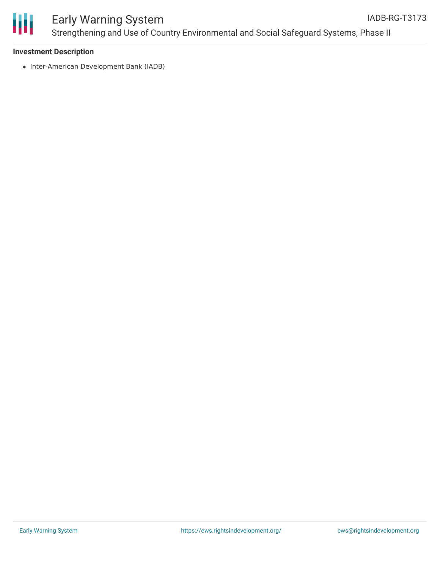

# **Investment Description**

• Inter-American Development Bank (IADB)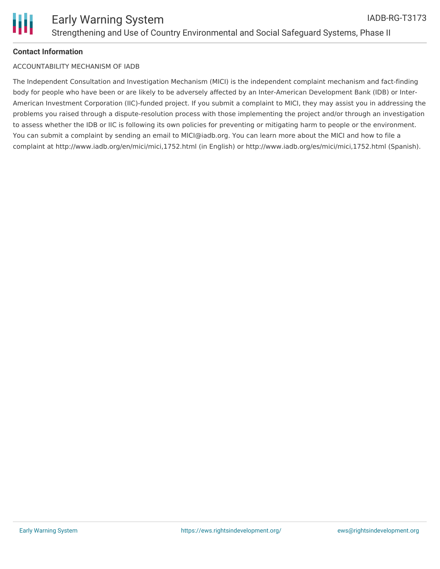# **Contact Information**

# ACCOUNTABILITY MECHANISM OF IADB

The Independent Consultation and Investigation Mechanism (MICI) is the independent complaint mechanism and fact-finding body for people who have been or are likely to be adversely affected by an Inter-American Development Bank (IDB) or Inter-American Investment Corporation (IIC)-funded project. If you submit a complaint to MICI, they may assist you in addressing the problems you raised through a dispute-resolution process with those implementing the project and/or through an investigation to assess whether the IDB or IIC is following its own policies for preventing or mitigating harm to people or the environment. You can submit a complaint by sending an email to MICI@iadb.org. You can learn more about the MICI and how to file a complaint at http://www.iadb.org/en/mici/mici,1752.html (in English) or http://www.iadb.org/es/mici/mici,1752.html (Spanish).